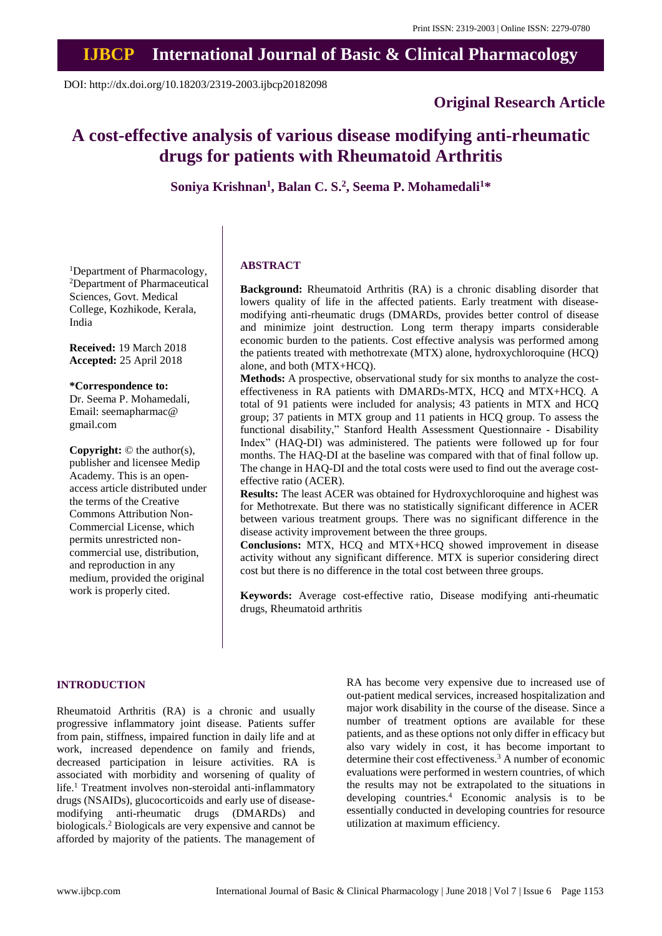# **IJBCP International Journal of Basic & Clinical Pharmacology**

DOI: http://dx.doi.org/10.18203/2319-2003.ijbcp20182098

# **Original Research Article**

# **A cost-effective analysis of various disease modifying anti-rheumatic drugs for patients with Rheumatoid Arthritis**

**Soniya Krishnan<sup>1</sup> , Balan C. S. 2 , Seema P. Mohamedali<sup>1</sup>\***

<sup>1</sup>Department of Pharmacology, <sup>2</sup>Department of Pharmaceutical Sciences, Govt. Medical College, Kozhikode, Kerala, India

**Received:** 19 March 2018 **Accepted:** 25 April 2018

**\*Correspondence to:** Dr. Seema P. Mohamedali, Email: seemapharmac@

gmail.com

**Copyright:** © the author(s), publisher and licensee Medip Academy. This is an openaccess article distributed under the terms of the Creative Commons Attribution Non-Commercial License, which permits unrestricted noncommercial use, distribution, and reproduction in any medium, provided the original work is properly cited.

#### **ABSTRACT**

**Background:** Rheumatoid Arthritis (RA) is a chronic disabling disorder that lowers quality of life in the affected patients. Early treatment with diseasemodifying anti-rheumatic drugs (DMARDs, provides better control of disease and minimize joint destruction. Long term therapy imparts considerable economic burden to the patients. Cost effective analysis was performed among the patients treated with methotrexate (MTX) alone, hydroxychloroquine (HCQ) alone, and both (MTX+HCQ).

**Methods:** A prospective, observational study for six months to analyze the costeffectiveness in RA patients with DMARDs-MTX, HCQ and MTX+HCQ. A total of 91 patients were included for analysis; 43 patients in MTX and HCQ group; 37 patients in MTX group and 11 patients in HCQ group. To assess the functional disability," Stanford Health Assessment Questionnaire - Disability Index" (HAQ-DI) was administered. The patients were followed up for four months. The HAQ-DI at the baseline was compared with that of final follow up. The change in HAQ-DI and the total costs were used to find out the average costeffective ratio (ACER).

**Results:** The least ACER was obtained for Hydroxychloroquine and highest was for Methotrexate. But there was no statistically significant difference in ACER between various treatment groups. There was no significant difference in the disease activity improvement between the three groups.

**Conclusions:** MTX, HCQ and MTX+HCQ showed improvement in disease activity without any significant difference. MTX is superior considering direct cost but there is no difference in the total cost between three groups.

**Keywords:** Average cost-effective ratio, Disease modifying anti-rheumatic drugs, Rheumatoid arthritis

#### **INTRODUCTION**

Rheumatoid Arthritis (RA) is a chronic and usually progressive inflammatory joint disease. Patients suffer from pain, stiffness, impaired function in daily life and at work, increased dependence on family and friends, decreased participation in leisure activities. RA is associated with morbidity and worsening of quality of life. <sup>1</sup> Treatment involves non-steroidal anti-inflammatory drugs (NSAIDs), glucocorticoids and early use of diseasemodifying anti-rheumatic drugs (DMARDs) and biologicals. <sup>2</sup> Biologicals are very expensive and cannot be afforded by majority of the patients. The management of RA has become very expensive due to increased use of out-patient medical services, increased hospitalization and major work disability in the course of the disease. Since a number of treatment options are available for these patients, and as these options not only differ in efficacy but also vary widely in cost, it has become important to determine their cost effectiveness. <sup>3</sup> A number of economic evaluations were performed in western countries, of which the results may not be extrapolated to the situations in developing countries. <sup>4</sup> Economic analysis is to be essentially conducted in developing countries for resource utilization at maximum efficiency.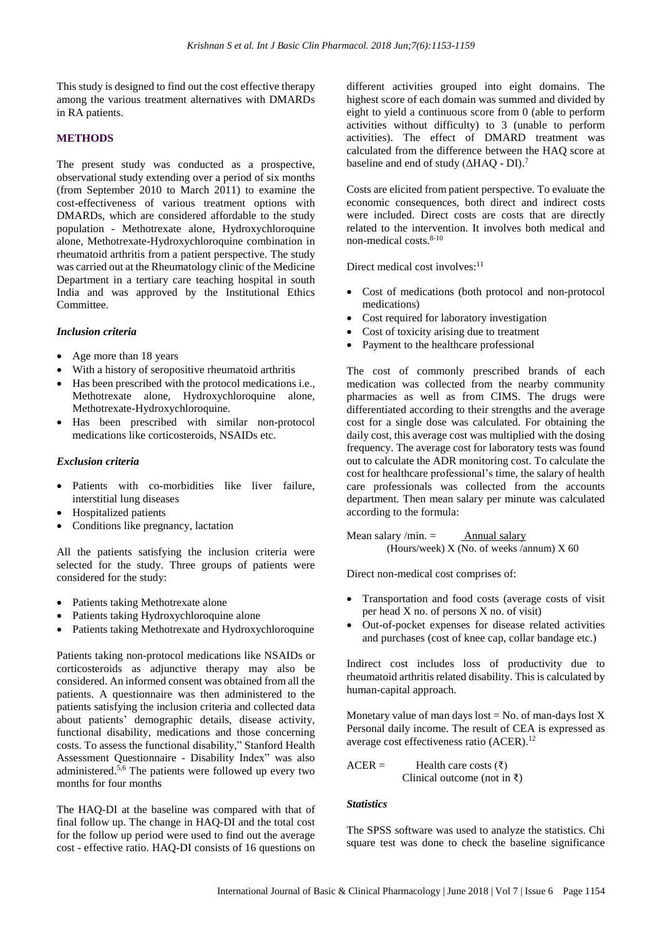This study is designed to find out the cost effective therapy among the various treatment alternatives with DMARDs in RA patients.

# **METHODS**

The present study was conducted as a prospective, observational study extending over a period of six months (from September 2010 to March 2011) to examine the cost-effectiveness of various treatment options with DMARDs, which are considered affordable to the study population - Methotrexate alone, Hydroxychloroquine alone, Methotrexate-Hydroxychloroquine combination in rheumatoid arthritis from a patient perspective. The study was carried out at the Rheumatology clinic of the Medicine Department in a tertiary care teaching hospital in south India and was approved by the Institutional Ethics Committee.

#### *Inclusion criteria*

- Age more than 18 years
- With a history of seropositive rheumatoid arthritis
- Has been prescribed with the protocol medications i.e., Methotrexate alone, Hydroxychloroquine alone, Methotrexate-Hydroxychloroquine.
- Has been prescribed with similar non-protocol medications like corticosteroids, NSAIDs etc.

## *Exclusion criteria*

- Patients with co-morbidities like liver failure, interstitial lung diseases
- Hospitalized patients
- Conditions like pregnancy, lactation

All the patients satisfying the inclusion criteria were selected for the study. Three groups of patients were considered for the study:

- Patients taking Methotrexate alone
- Patients taking Hydroxychloroquine alone
- Patients taking Methotrexate and Hydroxychloroquine

Patients taking non-protocol medications like NSAIDs or corticosteroids as adjunctive therapy may also be considered. An informed consent was obtained from all the patients. A questionnaire was then administered to the patients satisfying the inclusion criteria and collected data about patients' demographic details, disease activity, functional disability, medications and those concerning costs. To assess the functional disability," Stanford Health Assessment Questionnaire - Disability Index" was also administered. 5,6 The patients were followed up every two months for four months

The HAQ-DI at the baseline was compared with that of final follow up. The change in HAQ-DI and the total cost for the follow up period were used to find out the average cost - effective ratio. HAQ-DI consists of 16 questions on different activities grouped into eight domains. The highest score of each domain was summed and divided by eight to yield a continuous score from 0 (able to perform activities without difficulty) to 3 (unable to perform activities). The effect of DMARD treatment was calculated from the difference between the HAQ score at baseline and end of study  $(\Delta H A Q - DI)^7$ .

Costs are elicited from patient perspective. To evaluate the economic consequences, both direct and indirect costs were included. Direct costs are costs that are directly related to the intervention. It involves both medical and non-medical costs. 8-10

Direct medical cost involves: 11

- Cost of medications (both protocol and non-protocol medications)
- Cost required for laboratory investigation
- Cost of toxicity arising due to treatment
- Payment to the healthcare professional

The cost of commonly prescribed brands of each medication was collected from the nearby community pharmacies as well as from CIMS. The drugs were differentiated according to their strengths and the average cost for a single dose was calculated. For obtaining the daily cost, this average cost was multiplied with the dosing frequency. The average cost for laboratory tests was found out to calculate the ADR monitoring cost. To calculate the cost for healthcare professional's time, the salary of health care professionals was collected from the accounts department. Then mean salary per minute was calculated according to the formula:

Mean salary /min.  $=$  Annual salary (Hours/week) X (No. of weeks /annum) X 60

Direct non-medical cost comprises of:

- Transportation and food costs (average costs of visit per head X no. of persons X no. of visit)
- Out-of-pocket expenses for disease related activities and purchases (cost of knee cap, collar bandage etc.)

Indirect cost includes loss of productivity due to rheumatoid arthritis related disability. This is calculated by human-capital approach.

Monetary value of man days lost  $=$  No. of man-days lost  $X$ Personal daily income. The result of CEA is expressed as average cost effectiveness ratio (ACER). 12

$$
ACER =
$$
 Health care costs (₹)  
 Clinical outcome (not in ₹)

#### *Statistics*

The SPSS software was used to analyze the statistics. Chi square test was done to check the baseline significance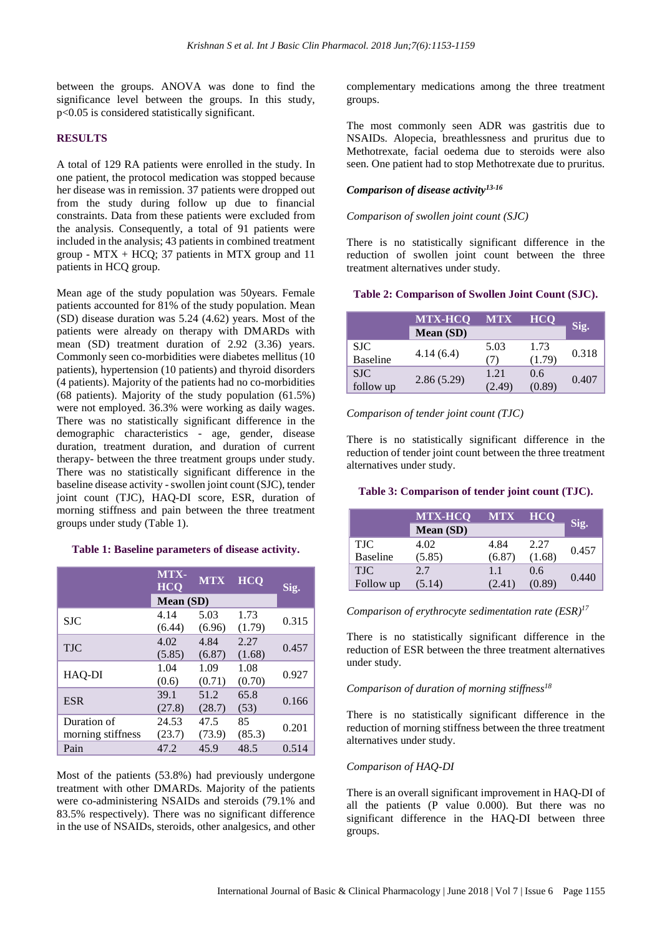between the groups. ANOVA was done to find the significance level between the groups. In this study, p<0.05 is considered statistically significant.

# **RESULTS**

A total of 129 RA patients were enrolled in the study. In one patient, the protocol medication was stopped because her disease was in remission. 37 patients were dropped out from the study during follow up due to financial constraints. Data from these patients were excluded from the analysis. Consequently, a total of 91 patients were included in the analysis; 43 patients in combined treatment group - MTX + HCQ; 37 patients in MTX group and  $11$ patients in HCQ group.

Mean age of the study population was 50years. Female patients accounted for 81% of the study population. Mean (SD) disease duration was 5.24 (4.62) years. Most of the patients were already on therapy with DMARDs with mean (SD) treatment duration of 2.92 (3.36) years. Commonly seen co-morbidities were diabetes mellitus (10 patients), hypertension (10 patients) and thyroid disorders (4 patients). Majority of the patients had no co-morbidities (68 patients). Majority of the study population (61.5%) were not employed. 36.3% were working as daily wages. There was no statistically significant difference in the demographic characteristics - age, gender, disease duration, treatment duration, and duration of current therapy- between the three treatment groups under study. There was no statistically significant difference in the baseline disease activity - swollen joint count (SJC), tender joint count (TJC), HAQ-DI score, ESR, duration of morning stiffness and pain between the three treatment groups under study (Table 1).

#### **Table 1: Baseline parameters of disease activity.**

|                   | MTX-<br><b>HCQ</b> | <b>MTX</b> | <b>HCO</b> | Sig.  |  |
|-------------------|--------------------|------------|------------|-------|--|
|                   | Mean (SD)          |            |            |       |  |
| <b>SJC</b>        | 4.14               | 5.03       | 1.73       | 0.315 |  |
|                   | (6.44)             | (6.96)     | (1.79)     |       |  |
| <b>TJC</b>        | 4.02               | 4.84       | 2.27       | 0.457 |  |
|                   | (5.85)             | (6.87)     | (1.68)     |       |  |
| HAQ-DI            | 1.04               | 1.09       | 1.08       | 0.927 |  |
|                   | (0.6)              | (0.71)     | (0.70)     |       |  |
| <b>ESR</b>        | 39.1               | 51.2       | 65.8       | 0.166 |  |
|                   | (27.8)             | (28.7)     | (53)       |       |  |
| Duration of       | 24.53              | 47.5       | 85         | 0.201 |  |
| morning stiffness | (23.7)             | (73.9)     | (85.3)     |       |  |
| Pain              | 47.2               | 45.9       | 48.5       | 0.514 |  |

Most of the patients (53.8%) had previously undergone treatment with other DMARDs. Majority of the patients were co-administering NSAIDs and steroids (79.1% and 83.5% respectively). There was no significant difference in the use of NSAIDs, steroids, other analgesics, and other complementary medications among the three treatment groups.

The most commonly seen ADR was gastritis due to NSAIDs. Alopecia, breathlessness and pruritus due to Methotrexate, facial oedema due to steroids were also seen. One patient had to stop Methotrexate due to pruritus.

# *Comparison of disease activity13-16*

# *Comparison of swollen joint count (SJC)*

There is no statistically significant difference in the reduction of swollen joint count between the three treatment alternatives under study.

# **Table 2: Comparison of Swollen Joint Count (SJC).**

|                 | <b>MTX-HCO</b>   | MTX    | <b>HCO</b> |       |  |
|-----------------|------------------|--------|------------|-------|--|
|                 | <b>Mean (SD)</b> |        |            | Sig.  |  |
| <b>SJC</b>      |                  | 5.03   | 1.73       | 0.318 |  |
| <b>Baseline</b> | 4.14(6.4)        | (7)    | (1.79)     |       |  |
| <b>SJC</b>      |                  | 1.21   | 0.6        |       |  |
| follow up       | 2.86(5.29)       | (2.49) | (0.89)     | 0.407 |  |

*Comparison of tender joint count (TJC)*

There is no statistically significant difference in the reduction of tender joint count between the three treatment alternatives under study.

# **Table 3: Comparison of tender joint count (TJC).**

|                 | <b>MTX-HCO</b> | <b>MTX</b> | <b>HCQ</b> |       |
|-----------------|----------------|------------|------------|-------|
|                 | Mean (SD)      |            |            | Sig.  |
| <b>TJC</b>      | 4.02           | 4.84       | 2.27       | 0.457 |
| <b>Baseline</b> | (5.85)         | (6.87)     | (1.68)     |       |
| <b>TJC</b>      | 2.7            | 1.1        | 0.6        | 0.440 |
| Follow up       | (5.14)         | 2.41       | (0.89)     |       |

*Comparison of erythrocyte sedimentation rate (ESR) 17*

There is no statistically significant difference in the reduction of ESR between the three treatment alternatives under study.

#### *Comparison of duration of morning stiffness<sup>18</sup>*

There is no statistically significant difference in the reduction of morning stiffness between the three treatment alternatives under study.

## *Comparison of HAQ-DI*

There is an overall significant improvement in HAQ-DI of all the patients (P value 0.000). But there was no significant difference in the HAQ-DI between three groups.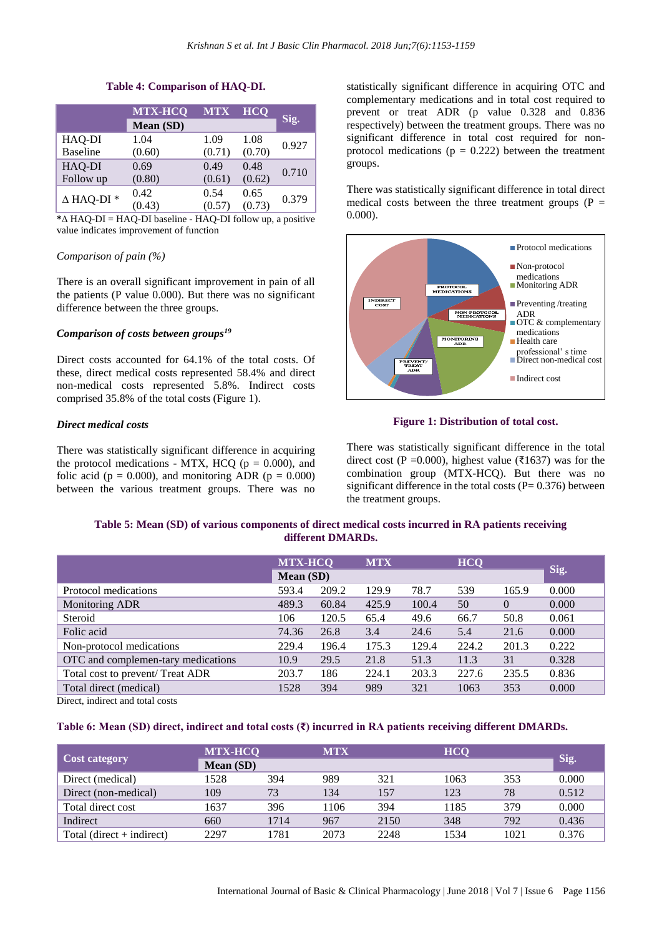#### **Table 4: Comparison of HAQ-DI.**

|                      | <b>MTX-HCQ</b><br>Mean (SD) | <b>MTX</b> | <b>HCO</b> | Sig.  |
|----------------------|-----------------------------|------------|------------|-------|
|                      |                             |            |            |       |
| HAQ-DI               | 1.04                        | 1.09       | 1.08       | 0.927 |
| <b>Baseline</b>      | (0.60)                      | (0.71)     | (0.70)     |       |
| HAQ-DI               | 0.69                        | 0.49       | 0.48       |       |
| Follow up            | (0.80)                      | (0.61)     | (0.62)     | 0.710 |
| $\triangle$ HAQ-DI * | 0.42                        | 0.54       | 0.65       | 0.379 |
|                      | (0.43)                      | (0.57)     | (0.73)     |       |

**\***∆ HAQ-DI = HAQ-DI baseline - HAQ-DI follow up, a positive value indicates improvement of function

#### *Comparison of pain (%)*

There is an overall significant improvement in pain of all the patients (P value 0.000). But there was no significant difference between the three groups.

#### *Comparison of costs between groups<sup>19</sup>*

Direct costs accounted for 64.1% of the total costs. Of these, direct medical costs represented 58.4% and direct non-medical costs represented 5.8%. Indirect costs comprised 35.8% of the total costs (Figure 1).

## *Direct medical costs*

There was statistically significant difference in acquiring the protocol medications - MTX, HCQ ( $p = 0.000$ ), and folic acid ( $p = 0.000$ ), and monitoring ADR ( $p = 0.000$ ) between the various treatment groups. There was no

statistically significant difference in acquiring OTC and complementary medications and in total cost required to prevent or treat ADR (p value 0.328 and 0.836 respectively) between the treatment groups. There was no significant difference in total cost required for nonprotocol medications ( $p = 0.222$ ) between the treatment groups.

There was statistically significant difference in total direct medical costs between the three treatment groups  $(P =$ 0.000).



## **Figure 1: Distribution of total cost.**

There was statistically significant difference in the total direct cost (P = 0.000), highest value (₹1637) was for the combination group (MTX-HCQ). But there was no significant difference in the total costs  $(P= 0.376)$  between the treatment groups.

# **Table 5: Mean (SD) of various components of direct medical costs incurred in RA patients receiving different DMARDs.**

| <b>MTX-HCQ</b> |       | <b>MTX</b> | <b>HCO</b> |       |          |       |
|----------------|-------|------------|------------|-------|----------|-------|
|                |       |            |            |       |          | Sig.  |
| 593.4          | 209.2 | 129.9      | 78.7       | 539   | 165.9    | 0.000 |
| 489.3          | 60.84 | 425.9      | 100.4      | 50    | $\Omega$ | 0.000 |
| 106            | 120.5 | 65.4       | 49.6       | 66.7  | 50.8     | 0.061 |
| 74.36          | 26.8  | 3.4        | 24.6       | 5.4   | 21.6     | 0.000 |
| 229.4          | 196.4 | 175.3      | 129.4      | 224.2 | 201.3    | 0.222 |
| 10.9           | 29.5  | 21.8       | 51.3       | 11.3  | 31       | 0.328 |
| 203.7          | 186   | 224.1      | 203.3      | 227.6 | 235.5    | 0.836 |
| 1528           | 394   | 989        | 321        | 1063  | 353      | 0.000 |
|                |       | Mean (SD)  |            |       |          |       |

Direct, indirect and total costs

#### **Table 6: Mean (SD) direct, indirect and total costs (₹) incurred in RA patients receiving different DMARDs.**

| <b>Cost category</b>        | <b>MTX-HCQ</b> |      | <b>MTX</b> |      | <b>HCO</b> |      | Sig.  |
|-----------------------------|----------------|------|------------|------|------------|------|-------|
|                             | Mean (SD)      |      |            |      |            |      |       |
| Direct (medical)            | 1528           | 394  | 989        | 321  | 1063       | 353  | 0.000 |
| Direct (non-medical)        | 109            | 73   | 134        | 157  | 123        | 78   | 0.512 |
| Total direct cost           | 1637           | 396  | 106        | 394  | 1185       | 379  | 0.000 |
| Indirect                    | 660            | 1714 | 967        | 2150 | 348        | 792  | 0.436 |
| Total (direct $+$ indirect) | 2297           | 1781 | 2073       | 2248 | 1534       | 1021 | 0.376 |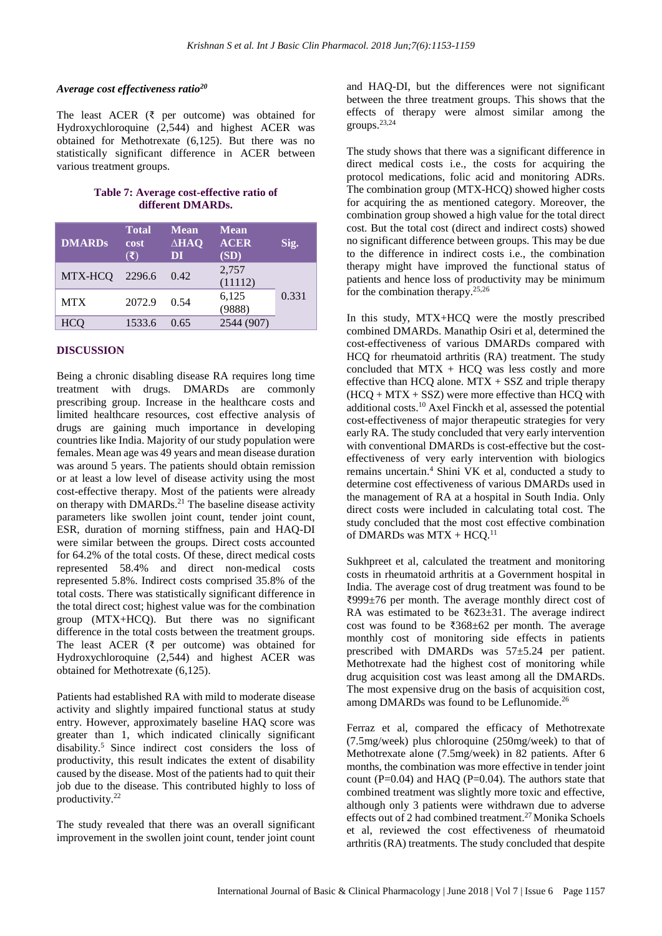#### *Average cost effectiveness ratio<sup>20</sup>*

The least ACER ( $\bar{\zeta}$  per outcome) was obtained for Hydroxychloroquine (2,544) and highest ACER was obtained for Methotrexate (6,125). But there was no statistically significant difference in ACER between various treatment groups.

**Table 7: Average cost-effective ratio of different DMARDs.**

| <b>DMARDs</b> | <b>Total</b><br>cost<br>$(\mathbf{\bar{z}})$ | <b>Mean</b><br>$\triangle$ <b>HAQ</b><br>DI | <b>Mean</b><br><b>ACER</b><br>(SD) | Sig.  |
|---------------|----------------------------------------------|---------------------------------------------|------------------------------------|-------|
| MTX-HCQ       | 2296.6                                       | 0.42                                        | 2,757<br>(11112)                   |       |
| <b>MTX</b>    | 2072.9                                       | 0.54                                        | 6,125<br>(9888)                    | 0.331 |
| HCO           | 1533.6                                       | 0.65                                        | 2544 (907)                         |       |

## **DISCUSSION**

Being a chronic disabling disease RA requires long time treatment with drugs. DMARDs are commonly prescribing group. Increase in the healthcare costs and limited healthcare resources, cost effective analysis of drugs are gaining much importance in developing countries like India. Majority of our study population were females. Mean age was 49 years and mean disease duration was around 5 years. The patients should obtain remission or at least a low level of disease activity using the most cost-effective therapy. Most of the patients were already on therapy with DMARDs.<sup>21</sup> The baseline disease activity parameters like swollen joint count, tender joint count, ESR, duration of morning stiffness, pain and HAQ-DI were similar between the groups. Direct costs accounted for 64.2% of the total costs. Of these, direct medical costs represented 58.4% and direct non-medical costs represented 5.8%. Indirect costs comprised 35.8% of the total costs. There was statistically significant difference in the total direct cost; highest value was for the combination group (MTX+HCQ). But there was no significant difference in the total costs between the treatment groups. The least ACER ( $\bar{\zeta}$  per outcome) was obtained for Hydroxychloroquine (2,544) and highest ACER was obtained for Methotrexate (6,125).

Patients had established RA with mild to moderate disease activity and slightly impaired functional status at study entry. However, approximately baseline HAQ score was greater than 1, which indicated clinically significant disability. <sup>5</sup> Since indirect cost considers the loss of productivity, this result indicates the extent of disability caused by the disease. Most of the patients had to quit their job due to the disease. This contributed highly to loss of productivity. 22

The study revealed that there was an overall significant improvement in the swollen joint count, tender joint count and HAQ-DI, but the differences were not significant between the three treatment groups. This shows that the effects of therapy were almost similar among the groups. 23,24

The study shows that there was a significant difference in direct medical costs i.e., the costs for acquiring the protocol medications, folic acid and monitoring ADRs. The combination group (MTX-HCQ) showed higher costs for acquiring the as mentioned category. Moreover, the combination group showed a high value for the total direct cost. But the total cost (direct and indirect costs) showed no significant difference between groups. This may be due to the difference in indirect costs i.e., the combination therapy might have improved the functional status of patients and hence loss of productivity may be minimum for the combination therapy. 25,26

In this study, MTX+HCQ were the mostly prescribed combined DMARDs. Manathip Osiri et al, determined the cost-effectiveness of various DMARDs compared with HCQ for rheumatoid arthritis (RA) treatment. The study concluded that  $MTX + HCQ$  was less costly and more effective than HCQ alone. MTX + SSZ and triple therapy  $(HCQ + MTX + SSZ)$  were more effective than HCQ with additional costs. <sup>10</sup> Axel Finckh et al, assessed the potential cost-effectiveness of major therapeutic strategies for very early RA. The study concluded that very early intervention with conventional DMARDs is cost-effective but the costeffectiveness of very early intervention with biologics remains uncertain. <sup>4</sup> Shini VK et al, conducted a study to determine cost effectiveness of various DMARDs used in the management of RA at a hospital in South India. Only direct costs were included in calculating total cost. The study concluded that the most cost effective combination of DMARDs was MTX + HCQ.<sup>11</sup>

Sukhpreet et al, calculated the treatment and monitoring costs in rheumatoid arthritis at a Government hospital in India. The average cost of drug treatment was found to be ₹999±76 per month. The average monthly direct cost of RA was estimated to be ₹623±31. The average indirect cost was found to be ₹368±62 per month. The average monthly cost of monitoring side effects in patients prescribed with DMARDs was 57±5.24 per patient. Methotrexate had the highest cost of monitoring while drug acquisition cost was least among all the DMARDs. The most expensive drug on the basis of acquisition cost, among DMARDs was found to be Leflunomide.<sup>26</sup>

Ferraz et al, compared the efficacy of Methotrexate (7.5mg/week) plus chloroquine (250mg/week) to that of Methotrexate alone (7.5mg/week) in 82 patients. After 6 months, the combination was more effective in tender joint count ( $P=0.04$ ) and HAQ ( $P=0.04$ ). The authors state that combined treatment was slightly more toxic and effective, although only 3 patients were withdrawn due to adverse effects out of 2 had combined treatment.<sup>27</sup> Monika Schoels et al, reviewed the cost effectiveness of rheumatoid arthritis (RA) treatments. The study concluded that despite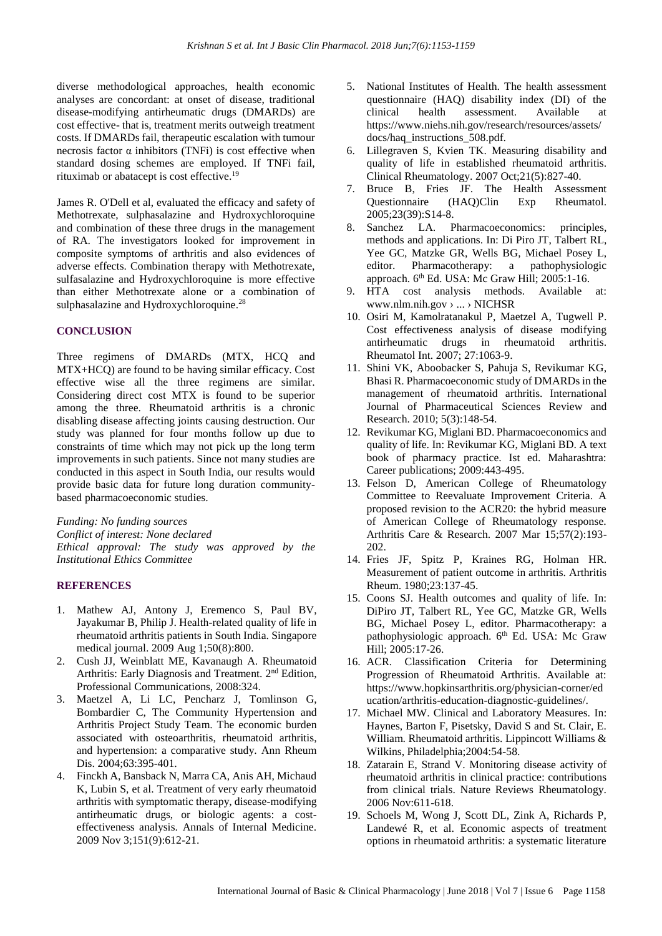diverse methodological approaches, health economic analyses are concordant: at onset of disease, traditional disease-modifying antirheumatic drugs (DMARDs) are cost effective- that is, treatment merits outweigh treatment costs. If DMARDs fail, therapeutic escalation with tumour necrosis factor  $α$  inhibitors (TNFi) is cost effective when standard dosing schemes are employed. If TNFi fail, rituximab or abatacept is cost effective.<sup>19</sup>

James R. O'Dell et al, evaluated the efficacy and safety of Methotrexate, sulphasalazine and Hydroxychloroquine and combination of these three drugs in the management of RA. The investigators looked for improvement in composite symptoms of arthritis and also evidences of adverse effects. Combination therapy with Methotrexate, sulfasalazine and Hydroxychloroquine is more effective than either Methotrexate alone or a combination of sulphasalazine and Hydroxychloroquine.<sup>28</sup>

## **CONCLUSION**

Three regimens of DMARDs (MTX, HCQ and MTX+HCQ) are found to be having similar efficacy. Cost effective wise all the three regimens are similar. Considering direct cost MTX is found to be superior among the three. Rheumatoid arthritis is a chronic disabling disease affecting joints causing destruction. Our study was planned for four months follow up due to constraints of time which may not pick up the long term improvements in such patients. Since not many studies are conducted in this aspect in South India, our results would provide basic data for future long duration communitybased pharmacoeconomic studies.

*Funding: No funding sources Conflict of interest: None declared Ethical approval: The study was approved by the Institutional Ethics Committee*

# **REFERENCES**

- 1. Mathew AJ, Antony J, Eremenco S, Paul BV, Jayakumar B, Philip J. Health-related quality of life in rheumatoid arthritis patients in South India. Singapore medical journal. 2009 Aug 1;50(8):800.
- 2. Cush JJ, Weinblatt ME, Kavanaugh A. Rheumatoid Arthritis: Early Diagnosis and Treatment. 2<sup>nd</sup> Edition, Professional Communications, 2008:324.
- 3. Maetzel A, Li LC, Pencharz J, Tomlinson G, Bombardier C, The Community Hypertension and Arthritis Project Study Team. The economic burden associated with osteoarthritis, rheumatoid arthritis, and hypertension: a comparative study. Ann Rheum Dis. 2004;63:395-401.
- 4. Finckh A, Bansback N, Marra CA, Anis AH, Michaud K, Lubin S, et al. Treatment of very early rheumatoid arthritis with symptomatic therapy, disease-modifying antirheumatic drugs, or biologic agents: a costeffectiveness analysis. Annals of Internal Medicine. 2009 Nov 3;151(9):612-21.
- 5. National Institutes of Health. The health assessment questionnaire (HAQ) disability index (DI) of the clinical health assessment. Available at https://www.niehs.nih.gov/research/resources/assets/ docs/haq\_instructions\_508.pdf.
- 6. Lillegraven S, Kvien TK. Measuring disability and quality of life in established rheumatoid arthritis. Clinical Rheumatology. 2007 Oct;21(5):827-40.
- 7. Bruce B, Fries JF. The Health Assessment Questionnaire (HAQ)Clin Exp Rheumatol. 2005;23(39):S14-8.
- 8. Sanchez LA. Pharmacoeconomics: principles, methods and applications. In: Di Piro JT, Talbert RL, Yee GC, Matzke GR, Wells BG, Michael Posey L, editor. Pharmacotherapy: a pathophysiologic approach. 6<sup>th</sup> Ed. USA: Mc Graw Hill; 2005:1-16.
- 9. HTA cost analysis methods. Available at: www.nlm.nih.gov › ... › NICHSR
- 10. Osiri M, Kamolratanakul P, Maetzel A, Tugwell P. Cost effectiveness analysis of disease modifying antirheumatic drugs in rheumatoid arthritis. Rheumatol Int. 2007; 27:1063-9.
- 11. Shini VK, Aboobacker S, Pahuja S, Revikumar KG, Bhasi R. Pharmacoeconomic study of DMARDs in the management of rheumatoid arthritis. International Journal of Pharmaceutical Sciences Review and Research. 2010; 5(3):148-54.
- 12. Revikumar KG, Miglani BD. Pharmacoeconomics and quality of life. In: Revikumar KG, Miglani BD. A text book of pharmacy practice. Ist ed. Maharashtra: Career publications; 2009:443-495.
- 13. Felson D, American College of Rheumatology Committee to Reevaluate Improvement Criteria. A proposed revision to the ACR20: the hybrid measure of American College of Rheumatology response. Arthritis Care & Research. 2007 Mar 15;57(2):193- 202.
- 14. Fries JF, Spitz P, Kraines RG, Holman HR. Measurement of patient outcome in arthritis. Arthritis Rheum. 1980;23:137-45.
- 15. Coons SJ. Health outcomes and quality of life. In: DiPiro JT, Talbert RL, Yee GC, Matzke GR, Wells BG, Michael Posey L, editor. Pharmacotherapy: a pathophysiologic approach. 6<sup>th</sup> Ed. USA: Mc Graw Hill; 2005:17-26.
- 16. ACR. Classification Criteria for Determining Progression of Rheumatoid Arthritis. Available at: https://www.hopkinsarthritis.org/physician-corner/ed ucation/arthritis-education-diagnostic-guidelines/.
- 17. Michael MW. Clinical and Laboratory Measures. In: Haynes, Barton F, Pisetsky, David S and St. Clair, E. William. Rheumatoid arthritis. Lippincott Williams & Wilkins, Philadelphia;2004:54-58.
- 18. Zatarain E, Strand V. Monitoring disease activity of rheumatoid arthritis in clinical practice: contributions from clinical trials. Nature Reviews Rheumatology. 2006 Nov:611-618.
- 19. Schoels M, Wong J, Scott DL, Zink A, Richards P, Landewé R, et al. Economic aspects of treatment options in rheumatoid arthritis: a systematic literature